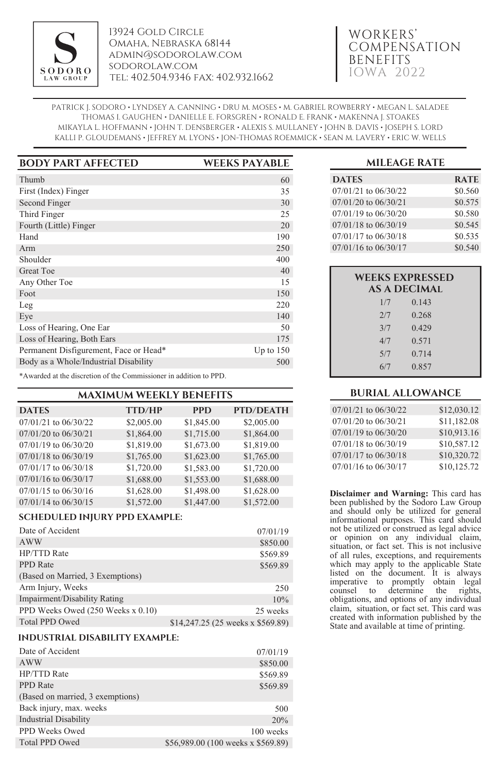

13924 Gold Circle Omaha, Nebraska 68144 admin@sodorolaw.com sodorolaw.com tel: 402.504.9346 fax: 402.932.1662

# WORKERS' COMPENSATION BENEFITS IOWA 2022

PATRICK J. SODORO • LYNDSEY A. CANNING • DRU M. MOSES • M. GABRIEL ROWBERRY • MEGAN L. SALADEE THOMAS I. GAUGHEN • DANIELLE E. FORSGREN • RONALD E. FRANK • MAKENNA J. STOAKES MIKAYLA L. HOFFMANN • JOHN T. DENSBERGER • ALEXIS S. MULLANEY • JOHN B. DAVIS • JOSEPH S. LORD KALLI P. GLOUDEMANS • JEFFREY M. LYONS • JON-THOMAS ROEMMICK • SEAN M. LAVERY • ERIC W. WELLS

| <b>BODY PART AFFECTED</b>              | <b>WEEKS PAYABLE</b> |
|----------------------------------------|----------------------|
| Thumb                                  | 60                   |
| First (Index) Finger                   | 35                   |
| Second Finger                          | 30                   |
| Third Finger                           | 25                   |
| Fourth (Little) Finger                 | 20                   |
| Hand                                   | 190                  |
| $A$ rm                                 | 250                  |
| Shoulder                               | 400                  |
| Great Toe                              | 40                   |
| Any Other Toe                          | 15                   |
| Foot                                   | 150                  |
| Leg                                    | 220                  |
| Eye                                    | 140                  |
| Loss of Hearing, One Ear               | 50                   |
| Loss of Hearing, Both Ears             | 175                  |
| Permanent Disfigurement, Face or Head* | Up to $150$          |
| Body as a Whole/Industrial Disability  | 500                  |

\*Awarded at the discretion of the Commissioner in addition to PPD.

| <b>MAXIMUM WEEKLY BENEFITS</b> |
|--------------------------------|
|--------------------------------|

| <b>DATES</b>             | <b>TTD/HP</b> | <b>PPD</b> | <b>PTD/DEATH</b> |
|--------------------------|---------------|------------|------------------|
| 07/01/21 to 06/30/22     | \$2,005.00    | \$1,845.00 | \$2,005.00       |
| 07/01/20 to 06/30/21     | \$1,864.00    | \$1,715.00 | \$1,864.00       |
| 07/01/19 to 06/30/20     | \$1,819.00    | \$1,673.00 | \$1,819.00       |
| 07/01/18 to 06/30/19     | \$1,765.00    | \$1,623.00 | \$1,765.00       |
| 07/01/17 to 06/30/18     | \$1,720.00    | \$1,583.00 | \$1,720.00       |
| 07/01/16 to 06/30/17     | \$1,688.00    | \$1,553.00 | \$1,688.00       |
| $07/01/15$ to $06/30/16$ | \$1,628.00    | \$1,498.00 | \$1,628.00       |
| $07/01/14$ to $06/30/15$ | \$1,572.00    | \$1,447.00 | \$1,572.00       |

# **SCHEDULED INJURY PPD EXAMPLE:**

| Date of Accident                  | 07/01/19                          |
|-----------------------------------|-----------------------------------|
| AWW                               | \$850.00                          |
| <b>HP/TTD Rate</b>                | \$569.89                          |
| <b>PPD</b> Rate                   | \$569.89                          |
| (Based on Married, 3 Exemptions)  |                                   |
| Arm Injury, Weeks                 | 250                               |
| Impairment/Disability Rating      | 10%                               |
| PPD Weeks Owed (250 Weeks x 0.10) | 25 weeks                          |
| <b>Total PPD Owed</b>             | \$14,247.25 (25 weeks x \$569.89) |

# **INDUSTRIAL DISABILITY EXAMPLE:**

| Date of Accident                 | 07/01/19                           |
|----------------------------------|------------------------------------|
| <b>AWW</b>                       | \$850.00                           |
| HP/TTD Rate                      | \$569.89                           |
| <b>PPD</b> Rate                  | \$569.89                           |
| (Based on married, 3 exemptions) |                                    |
| Back injury, max. weeks          | 500                                |
| <b>Industrial Disability</b>     | 20%                                |
| PPD Weeks Owed                   | 100 weeks                          |
| <b>Total PPD Owed</b>            | \$56,989.00 (100 weeks x \$569.89) |

## **MILEAGE RATE**

| <b>DATES</b>             | <b>RATE</b> |
|--------------------------|-------------|
| $07/01/21$ to $06/30/22$ | \$0.560     |
| $07/01/20$ to $06/30/21$ | \$0.575     |
| 07/01/19 to 06/30/20     | \$0.580     |
| 07/01/18 to 06/30/19     | \$0.545     |
| 07/01/17 to 06/30/18     | \$0.535     |
| 07/01/16 to 06/30/17     | \$0.540     |

| <b>WEEKS EXPRESSED</b><br><b>AS A DECIMAL</b> |       |
|-----------------------------------------------|-------|
| 1/7                                           | 0.143 |
| 2/7                                           | 0.268 |
| 3/7                                           | 0.429 |
| 4/7                                           | 0.571 |
| 5/7                                           | 0.714 |
| 6/7                                           | 0.857 |
|                                               |       |

## **BURIAL ALLOWANCE**

| 07/01/21 to 06/30/22 | \$12,030.12 |
|----------------------|-------------|
| 07/01/20 to 06/30/21 | \$11,182.08 |
| 07/01/19 to 06/30/20 | \$10,913.16 |
| 07/01/18 to 06/30/19 | \$10,587.12 |
| 07/01/17 to 06/30/18 | \$10,320.72 |
| 07/01/16 to 06/30/17 | \$10,125.72 |

**Disclaimer and Warning:** This card has been published by the Sodoro Law Group and should only be utilized for general informational purposes. This card should not be utilized or construed as legal advice or opinion on any individual claim, situation, or fact set. This is not inclusive of all rules, exceptions, and requirements which may apply to the applicable State listed on the document. It is always imperative to promptly obtain legal counsel to determine the rights, obligations, and options of any individual claim, situation, or fact set. This card was created with information published by the State and available at time of printing.